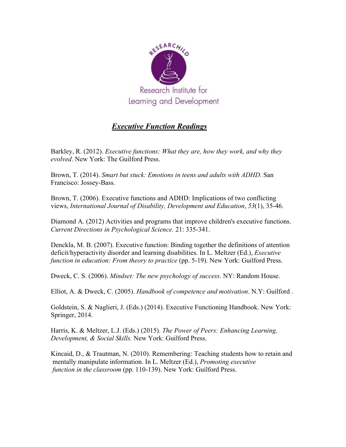

## *Executive Function Readings*

Barkley, R. (2012). *Executive functions: What they are, how they work, and why they evolved*. New York: The Guilford Press.

Brown, T. (2014). *Smart but stuck: Emotions in teens and adults with ADHD*. San Francisco: Jossey-Bass.

Brown, T. (2006). Executive functions and ADHD: Implications of two conflicting views, *International Journal of Disability, Development and Education*, *53*(1), 35-46.

Diamond A. (2012) Activities and programs that improve children's executive functions. *Current Directions in Psychological Science.* 21: 335-341.

Denckla, M. B. (2007). Executive function: Binding together the definitions of attention deficit/hyperactivity disorder and learning disabilities. In L. Meltzer (Ed.), *Executive function in education: From theory to practice* (pp. 5-19). New York: Guilford Press.

Dweck, C. S. (2006). *Mindset: The new psychology of success.* NY: Random House.

Elliot, A. & Dweck, C. (2005). *Handbook of competence and motivation*. N.Y: Guilford .

Goldstein, S. & Naglieri, J. (Eds.) (2014). Executive Functioning Handbook. New York: Springer, 2014.

Harris, K. & Meltzer, L.J. (Eds.) (2015). *The Power of Peers: Enhancing Learning, Development, & Social Skills.* New York: Guilford Press.

Kincaid, D., & Trautman, N. (2010). Remembering: Teaching students how to retain and mentally manipulate information. In L. Meltzer (Ed.), *Promoting executive function in the classroom* (pp. 110-139). New York: Guilford Press.